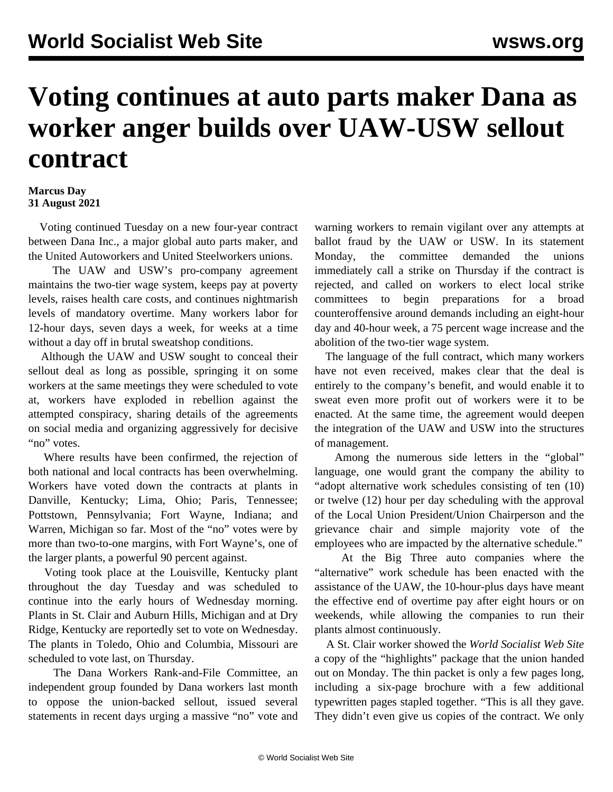## **Voting continues at auto parts maker Dana as worker anger builds over UAW-USW sellout contract**

## **Marcus Day 31 August 2021**

 Voting continued Tuesday on a new four-year contract between Dana Inc., a major global auto parts maker, and the United Autoworkers and United Steelworkers unions.

 The UAW and USW's pro-company agreement maintains the two-tier wage system, keeps pay at poverty levels, raises health care costs, and continues nightmarish levels of mandatory overtime. Many workers labor for 12-hour days, seven days a week, for weeks at a time without a day off in brutal sweatshop conditions.

 Although the UAW and USW sought to conceal their sellout deal as long as possible, springing it on some workers at the same meetings they were scheduled to vote at, workers have exploded in rebellion against the attempted conspiracy, sharing details of the agreements on social media and organizing aggressively for decisive "no" votes.

 Where results have been confirmed, the rejection of both national and local contracts has been overwhelming. Workers have voted down the contracts at plants in Danville, Kentucky; Lima, Ohio; Paris, Tennessee; Pottstown, Pennsylvania; Fort Wayne, Indiana; and Warren, Michigan so far. Most of the "no" votes were by more than two-to-one margins, with Fort Wayne's, one of the larger plants, a powerful 90 percent against.

 Voting took place at the Louisville, Kentucky plant throughout the day Tuesday and was scheduled to continue into the early hours of Wednesday morning. Plants in St. Clair and Auburn Hills, Michigan and at Dry Ridge, Kentucky are reportedly set to vote on Wednesday. The plants in Toledo, Ohio and Columbia, Missouri are scheduled to vote last, on Thursday.

 The Dana Workers Rank-and-File Committee, an independent group founded by Dana workers last month to oppose the union-backed sellout, issued several statements in recent days urging a massive "no" vote and warning workers to remain vigilant over any attempts at ballot fraud by the UAW or USW. In its [statement](/en/articles/2021/08/30/dana-a30.html) [Monday,](/en/articles/2021/08/30/dana-a30.html) the committee demanded the unions immediately call a strike on Thursday if the contract is rejected, and called on workers to elect local strike committees to begin preparations for a broad counteroffensive around demands including an eight-hour day and 40-hour week, a 75 percent wage increase and the abolition of the two-tier wage system.

 The language of the full contract, which many workers have not even received, makes clear that the deal is entirely to the company's benefit, and would enable it to sweat even more profit out of workers were it to be enacted. At the same time, the agreement would deepen the integration of the UAW and USW into the structures of management.

 Among the numerous side letters in the "global" language, one would grant the company the ability to "adopt alternative work schedules consisting of ten (10) or twelve (12) hour per day scheduling with the approval of the Local Union President/Union Chairperson and the grievance chair and simple majority vote of the employees who are impacted by the alternative schedule."

 At the Big Three auto companies where the "alternative" work schedule has been enacted with the assistance of the UAW, the 10-hour-plus days have meant the effective end of overtime pay after eight hours or on weekends, while allowing the companies to run their plants almost continuously.

 A St. Clair worker showed the *World Socialist Web Site* a copy of the "highlights" package that the union handed out on Monday. The thin packet is only a few pages long, including a six-page brochure with a few additional typewritten pages stapled together. "This is all they gave. They didn't even give us copies of the contract. We only